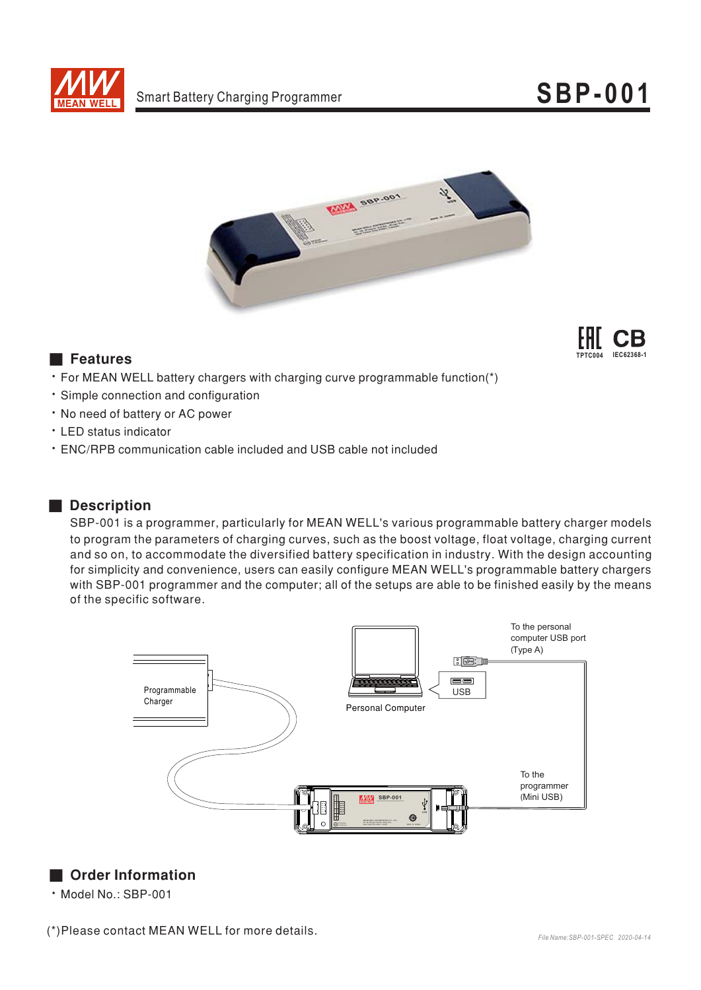



## **Executer**



- For MEAN WELL battery chargers with charging curve programmable function(\*)
- · Simple connection and configuration
- . No need of battery or AC power
- LED status indicator
- . ENC/RPB communication cable included and USB cable not included

## Description

SBP-001 is a programmer, particularly for MEAN WELL's various programmable battery charger models to program the parameters of charging curves, such as the boost voltage, float voltage, charging current and so on, to accommodate the diversified battery specification in industry. With the design accounting for simplicity and convenience, users can easily configure MEAN WELL's programmable battery chargers with SBP-001 programmer and the computer; all of the setups are able to be finished easily by the means of the specific software.



## Order Information

· Model No.: SBP-001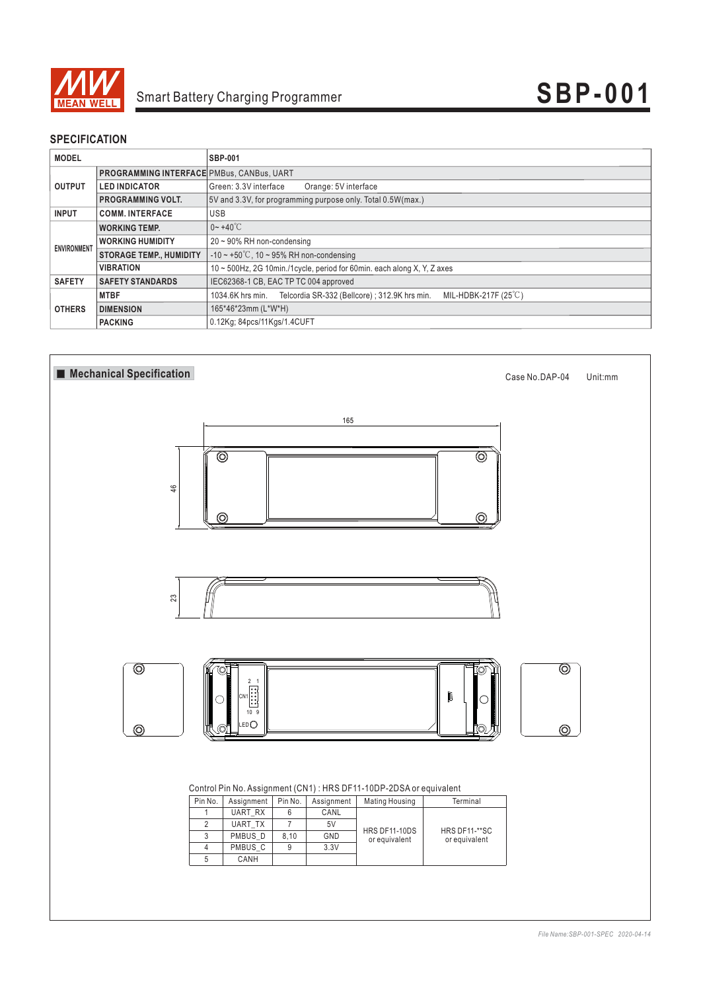

## **SPECIFICATION**

| <b>MODEL</b>       |                                                  | <b>SBP-001</b>                                                                            |
|--------------------|--------------------------------------------------|-------------------------------------------------------------------------------------------|
| <b>OUTPUT</b>      | <b>PROGRAMMING INTERFACE PMBus, CANBus, UART</b> |                                                                                           |
|                    | <b>LED INDICATOR</b>                             | Green: 3.3V interface<br>Orange: 5V interface                                             |
|                    | <b>PROGRAMMING VOLT.</b>                         | 5V and 3.3V, for programming purpose only. Total 0.5W(max.)                               |
| <b>INPUT</b>       | <b>COMM. INTERFACE</b>                           | <b>USB</b>                                                                                |
| <b>ENVIRONMENT</b> | <b>WORKING TEMP.</b>                             | $0 - +40^{\circ}$ C                                                                       |
|                    | <b>WORKING HUMIDITY</b>                          | $20 \sim 90\%$ RH non-condensing                                                          |
|                    | <b>STORAGE TEMP., HUMIDITY</b>                   | $-10 \sim +50^{\circ}$ C, 10 ~ 95% RH non-condensing                                      |
|                    | <b>VIBRATION</b>                                 | 10 ~ 500Hz, 2G 10min./1cycle, period for 60min. each along X, Y, Z axes                   |
| <b>SAFETY</b>      | <b>SAFETY STANDARDS</b>                          | IEC62368-1 CB, EAC TP TC 004 approved                                                     |
| <b>OTHERS</b>      | <b>MTBF</b>                                      | MIL-HDBK-217F (25°C)<br>Telcordia SR-332 (Bellcore) : 312.9K hrs min.<br>1034.6K hrs min. |
|                    | <b>DIMENSION</b>                                 | 165*46*23mm (L*W*H)                                                                       |
|                    | <b>PACKING</b>                                   | 0.12Kg; 84pcs/11Kgs/1.4CUFT                                                               |